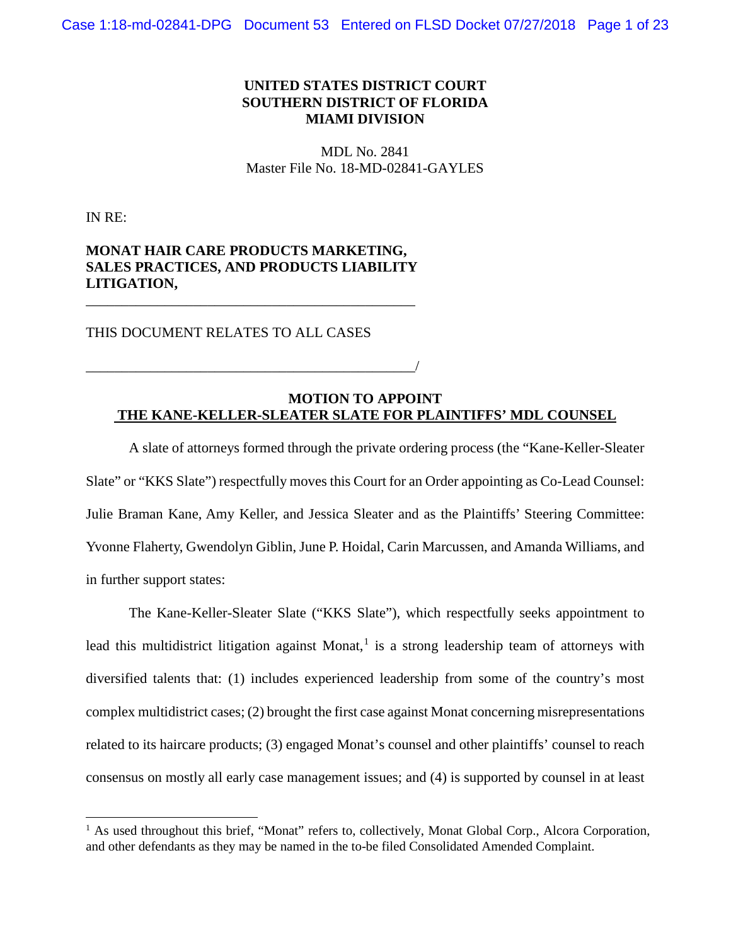## **UNITED STATES DISTRICT COURT SOUTHERN DISTRICT OF FLORIDA MIAMI DIVISION**

MDL No. 2841 Master File No. 18-MD-02841-GAYLES

IN RE:

# **MONAT HAIR CARE PRODUCTS MARKETING, SALES PRACTICES, AND PRODUCTS LIABILITY LITIGATION,**

\_\_\_\_\_\_\_\_\_\_\_\_\_\_\_\_\_\_\_\_\_\_\_\_\_\_\_\_\_\_\_\_\_\_\_\_\_\_\_\_\_\_\_\_\_\_

\_\_\_\_\_\_\_\_\_\_\_\_\_\_\_\_\_\_\_\_\_\_\_\_\_\_\_\_\_\_\_\_\_\_\_\_\_\_\_\_\_\_\_\_\_\_/

THIS DOCUMENT RELATES TO ALL CASES

### **MOTION TO APPOINT THE KANE-KELLER-SLEATER SLATE FOR PLAINTIFFS' MDL COUNSEL**

A slate of attorneys formed through the private ordering process (the "Kane-Keller-Sleater Slate" or "KKS Slate") respectfully moves this Court for an Order appointing as Co-Lead Counsel: Julie Braman Kane, Amy Keller, and Jessica Sleater and as the Plaintiffs' Steering Committee: Yvonne Flaherty, Gwendolyn Giblin, June P. Hoidal, Carin Marcussen, and Amanda Williams, and in further support states:

The Kane-Keller-Sleater Slate ("KKS Slate"), which respectfully seeks appointment to lead this multidistrict litigation against Monat,<sup>1</sup> is a strong leadership team of attorneys with diversified talents that: (1) includes experienced leadership from some of the country's most complex multidistrict cases; (2) brought the first case against Monat concerning misrepresentations related to its haircare products; (3) engaged Monat's counsel and other plaintiffs' counsel to reach consensus on mostly all early case management issues; and (4) is supported by counsel in at least

 $<sup>1</sup>$  As used throughout this brief, "Monat" refers to, collectively, Monat Global Corp., Alcora Corporation,</sup> and other defendants as they may be named in the to-be filed Consolidated Amended Complaint.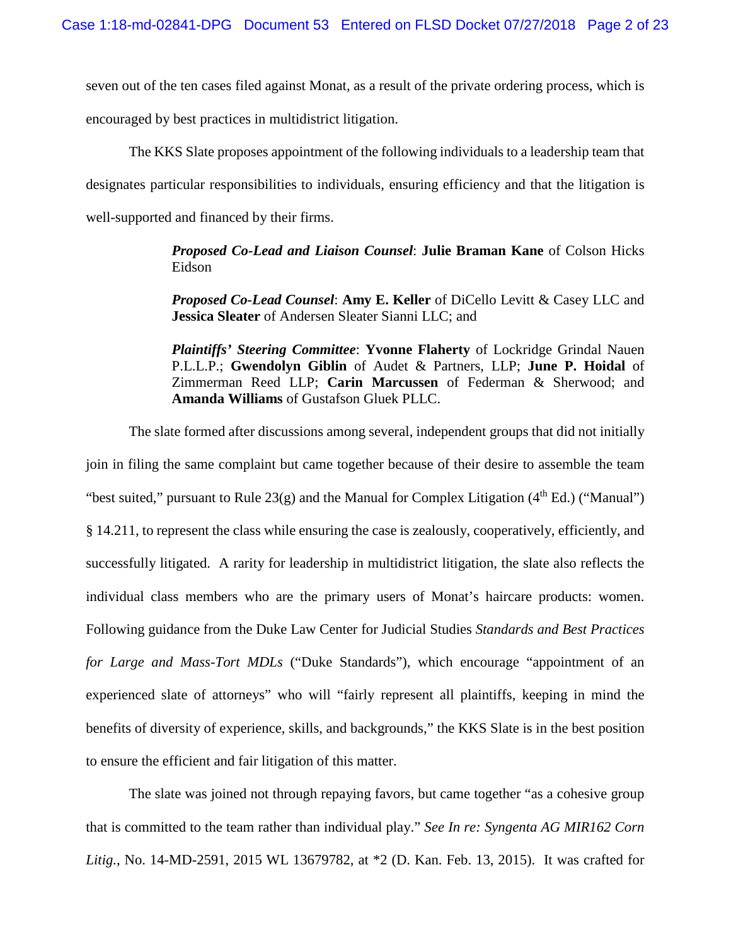seven out of the ten cases filed against Monat, as a result of the private ordering process, which is encouraged by best practices in multidistrict litigation.

The KKS Slate proposes appointment of the following individuals to a leadership team that designates particular responsibilities to individuals, ensuring efficiency and that the litigation is well-supported and financed by their firms.

> *Proposed Co-Lead and Liaison Counsel*: **Julie Braman Kane** of Colson Hicks Eidson

> *Proposed Co-Lead Counsel*: **Amy E. Keller** of DiCello Levitt & Casey LLC and **Jessica Sleater** of Andersen Sleater Sianni LLC; and

> *Plaintiffs' Steering Committee*: **Yvonne Flaherty** of Lockridge Grindal Nauen P.L.L.P.; **Gwendolyn Giblin** of Audet & Partners, LLP; **June P. Hoidal** of Zimmerman Reed LLP; **Carin Marcussen** of Federman & Sherwood; and **Amanda Williams** of Gustafson Gluek PLLC.

The slate formed after discussions among several, independent groups that did not initially join in filing the same complaint but came together because of their desire to assemble the team "best suited," pursuant to Rule  $23(g)$  and the Manual for Complex Litigation (4<sup>th</sup> Ed.) ("Manual") § 14.211, to represent the class while ensuring the case is zealously, cooperatively, efficiently, and successfully litigated. A rarity for leadership in multidistrict litigation, the slate also reflects the individual class members who are the primary users of Monat's haircare products: women. Following guidance from the Duke Law Center for Judicial Studies *Standards and Best Practices for Large and Mass-Tort MDLs* ("Duke Standards"), which encourage "appointment of an experienced slate of attorneys" who will "fairly represent all plaintiffs, keeping in mind the benefits of diversity of experience, skills, and backgrounds," the KKS Slate is in the best position to ensure the efficient and fair litigation of this matter.

The slate was joined not through repaying favors, but came together "as a cohesive group that is committed to the team rather than individual play." *See In re: Syngenta AG MIR162 Corn Litig.*, No. 14-MD-2591, 2015 WL 13679782, at \*2 (D. Kan. Feb. 13, 2015). It was crafted for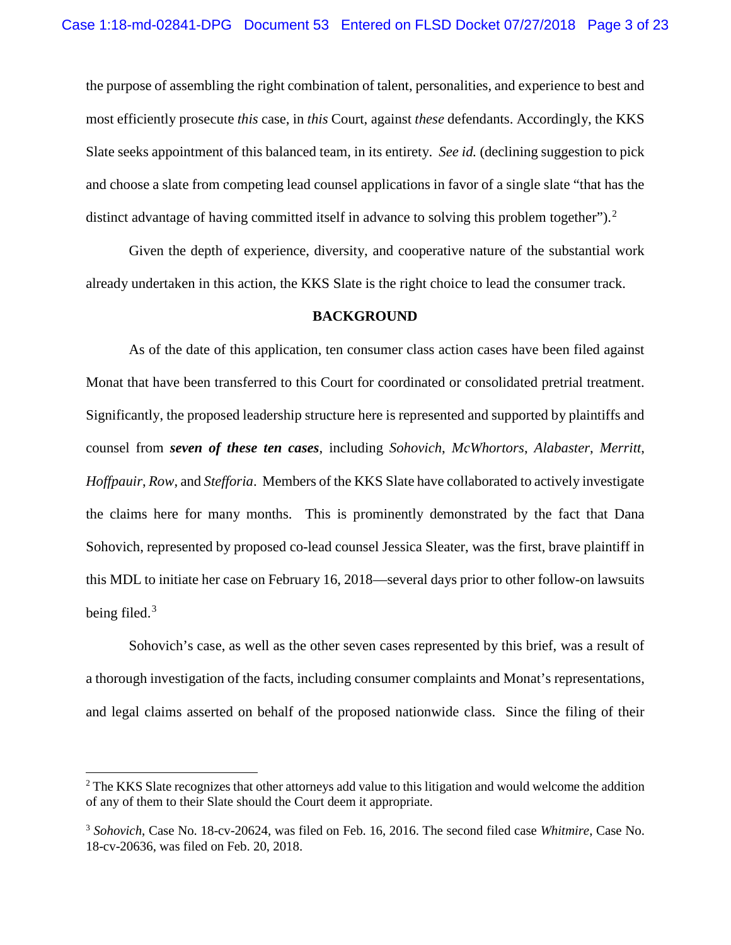the purpose of assembling the right combination of talent, personalities, and experience to best and most efficiently prosecute *this* case, in *this* Court, against *these* defendants. Accordingly, the KKS Slate seeks appointment of this balanced team, in its entirety. *See id.* (declining suggestion to pick and choose a slate from competing lead counsel applications in favor of a single slate "that has the distinct advantage of having committed itself in advance to solving this problem together").<sup>2</sup>

Given the depth of experience, diversity, and cooperative nature of the substantial work already undertaken in this action, the KKS Slate is the right choice to lead the consumer track.

#### **BACKGROUND**

As of the date of this application, ten consumer class action cases have been filed against Monat that have been transferred to this Court for coordinated or consolidated pretrial treatment. Significantly, the proposed leadership structure here is represented and supported by plaintiffs and counsel from *seven of these ten cases*, including *Sohovich*, *McWhortors*, *Alabaster*, *Merritt*, *Hoffpauir*, *Row*, and *Stefforia*. Members of the KKS Slate have collaborated to actively investigate the claims here for many months. This is prominently demonstrated by the fact that Dana Sohovich, represented by proposed co-lead counsel Jessica Sleater, was the first, brave plaintiff in this MDL to initiate her case on February 16, 2018—several days prior to other follow-on lawsuits being filed. $3$ 

Sohovich's case, as well as the other seven cases represented by this brief, was a result of a thorough investigation of the facts, including consumer complaints and Monat's representations, and legal claims asserted on behalf of the proposed nationwide class. Since the filing of their

<sup>&</sup>lt;sup>2</sup> The KKS Slate recognizes that other attorneys add value to this litigation and would welcome the addition of any of them to their Slate should the Court deem it appropriate.

<sup>3</sup> *Sohovich*, Case No. 18-cv-20624, was filed on Feb. 16, 2016. The second filed case *Whitmire*, Case No. 18-cv-20636, was filed on Feb. 20, 2018.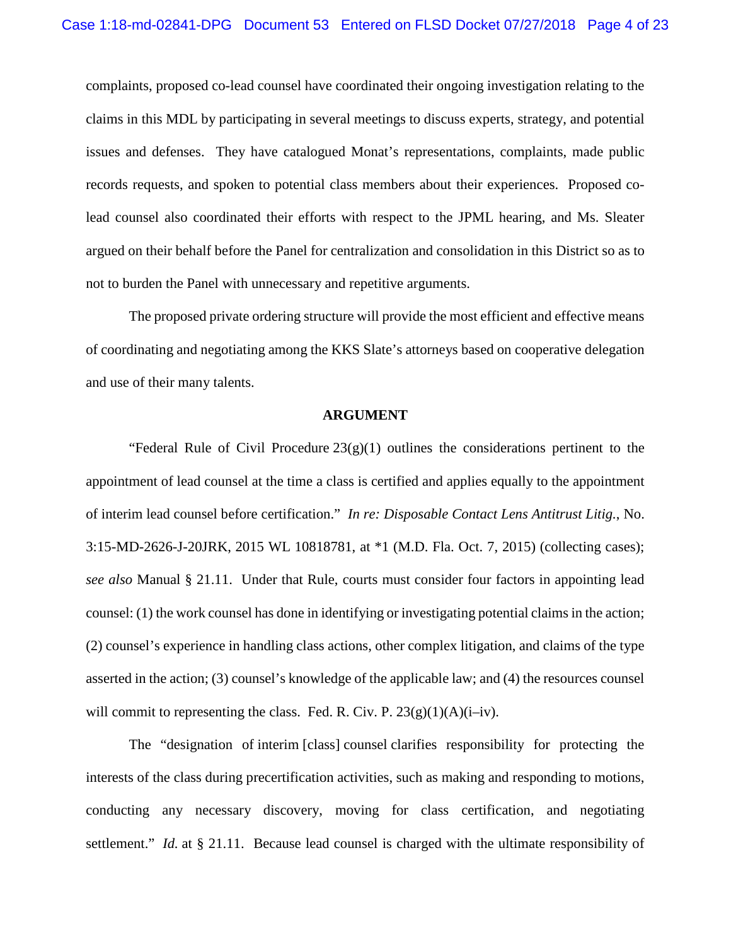complaints, proposed co-lead counsel have coordinated their ongoing investigation relating to the claims in this MDL by participating in several meetings to discuss experts, strategy, and potential issues and defenses. They have catalogued Monat's representations, complaints, made public records requests, and spoken to potential class members about their experiences. Proposed colead counsel also coordinated their efforts with respect to the JPML hearing, and Ms. Sleater argued on their behalf before the Panel for centralization and consolidation in this District so as to not to burden the Panel with unnecessary and repetitive arguments.

The proposed private ordering structure will provide the most efficient and effective means of coordinating and negotiating among the KKS Slate's attorneys based on cooperative delegation and use of their many talents.

#### **ARGUMENT**

"Federal Rule of Civil Procedure  $23(g)(1)$  outlines the considerations pertinent to the appointment of lead counsel at the time a class is certified and applies equally to the appointment of interim lead counsel before certification." *In re: Disposable Contact Lens Antitrust Litig.*, No. 3:15-MD-2626-J-20JRK, 2015 WL 10818781, at \*1 (M.D. Fla. Oct. 7, 2015) (collecting cases); *see also* Manual § 21.11. Under that Rule, courts must consider four factors in appointing lead counsel: (1) the work counsel has done in identifying or investigating potential claims in the action; (2) counsel's experience in handling class actions, other complex litigation, and claims of the type asserted in the action; (3) counsel's knowledge of the applicable law; and (4) the resources counsel will commit to representing the class. Fed. R. Civ. P.  $23(g)(1)(A)(i-iv)$ .

The "designation of interim [class] counsel clarifies responsibility for protecting the interests of the class during precertification activities, such as making and responding to motions, conducting any necessary discovery, moving for class certification, and negotiating settlement." *Id.* at § 21.11. Because lead counsel is charged with the ultimate responsibility of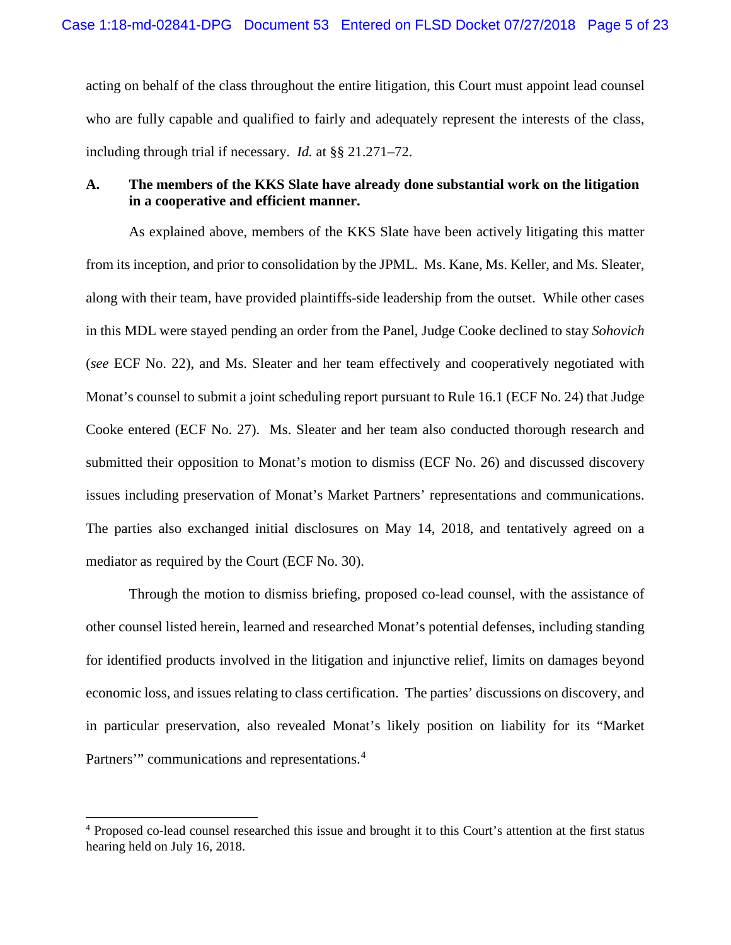acting on behalf of the class throughout the entire litigation, this Court must appoint lead counsel who are fully capable and qualified to fairly and adequately represent the interests of the class, including through trial if necessary. *Id.* at §§ 21.271–72.

## **A. The members of the KKS Slate have already done substantial work on the litigation in a cooperative and efficient manner.**

As explained above, members of the KKS Slate have been actively litigating this matter from its inception, and prior to consolidation by the JPML. Ms. Kane, Ms. Keller, and Ms. Sleater, along with their team, have provided plaintiffs-side leadership from the outset. While other cases in this MDL were stayed pending an order from the Panel, Judge Cooke declined to stay *Sohovich*  (*see* ECF No. 22), and Ms. Sleater and her team effectively and cooperatively negotiated with Monat's counsel to submit a joint scheduling report pursuant to Rule 16.1 (ECF No. 24) that Judge Cooke entered (ECF No. 27). Ms. Sleater and her team also conducted thorough research and submitted their opposition to Monat's motion to dismiss (ECF No. 26) and discussed discovery issues including preservation of Monat's Market Partners' representations and communications. The parties also exchanged initial disclosures on May 14, 2018, and tentatively agreed on a mediator as required by the Court (ECF No. 30).

Through the motion to dismiss briefing, proposed co-lead counsel, with the assistance of other counsel listed herein, learned and researched Monat's potential defenses, including standing for identified products involved in the litigation and injunctive relief, limits on damages beyond economic loss, and issues relating to class certification. The parties' discussions on discovery, and in particular preservation, also revealed Monat's likely position on liability for its "Market Partners'" communications and representations.<sup>4</sup>

 <sup>4</sup> Proposed co-lead counsel researched this issue and brought it to this Court's attention at the first status hearing held on July 16, 2018.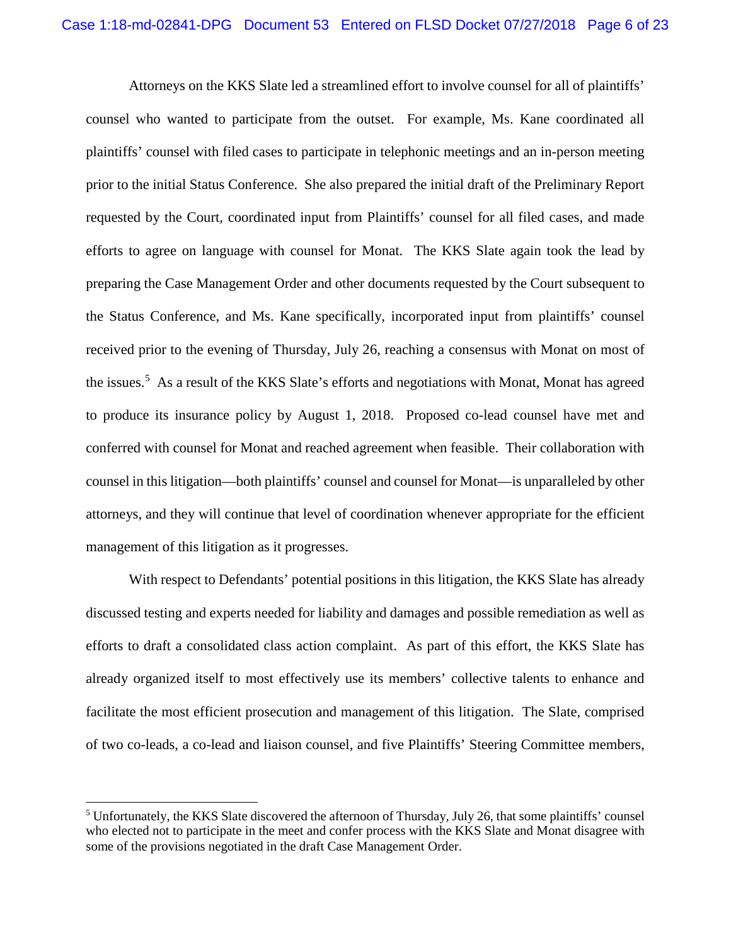Attorneys on the KKS Slate led a streamlined effort to involve counsel for all of plaintiffs' counsel who wanted to participate from the outset. For example, Ms. Kane coordinated all plaintiffs' counsel with filed cases to participate in telephonic meetings and an in-person meeting prior to the initial Status Conference. She also prepared the initial draft of the Preliminary Report requested by the Court, coordinated input from Plaintiffs' counsel for all filed cases, and made efforts to agree on language with counsel for Monat. The KKS Slate again took the lead by preparing the Case Management Order and other documents requested by the Court subsequent to the Status Conference, and Ms. Kane specifically, incorporated input from plaintiffs' counsel received prior to the evening of Thursday, July 26, reaching a consensus with Monat on most of the issues. 5 As a result of the KKS Slate's efforts and negotiations with Monat, Monat has agreed to produce its insurance policy by August 1, 2018. Proposed co-lead counsel have met and conferred with counsel for Monat and reached agreement when feasible. Their collaboration with counsel in this litigation—both plaintiffs' counsel and counsel for Monat—is unparalleled by other attorneys, and they will continue that level of coordination whenever appropriate for the efficient management of this litigation as it progresses.

With respect to Defendants' potential positions in this litigation, the KKS Slate has already discussed testing and experts needed for liability and damages and possible remediation as well as efforts to draft a consolidated class action complaint. As part of this effort, the KKS Slate has already organized itself to most effectively use its members' collective talents to enhance and facilitate the most efficient prosecution and management of this litigation. The Slate, comprised of two co-leads, a co-lead and liaison counsel, and five Plaintiffs' Steering Committee members,

<sup>&</sup>lt;sup>5</sup> Unfortunately, the KKS Slate discovered the afternoon of Thursday, July 26, that some plaintiffs' counsel who elected not to participate in the meet and confer process with the KKS Slate and Monat disagree with some of the provisions negotiated in the draft Case Management Order.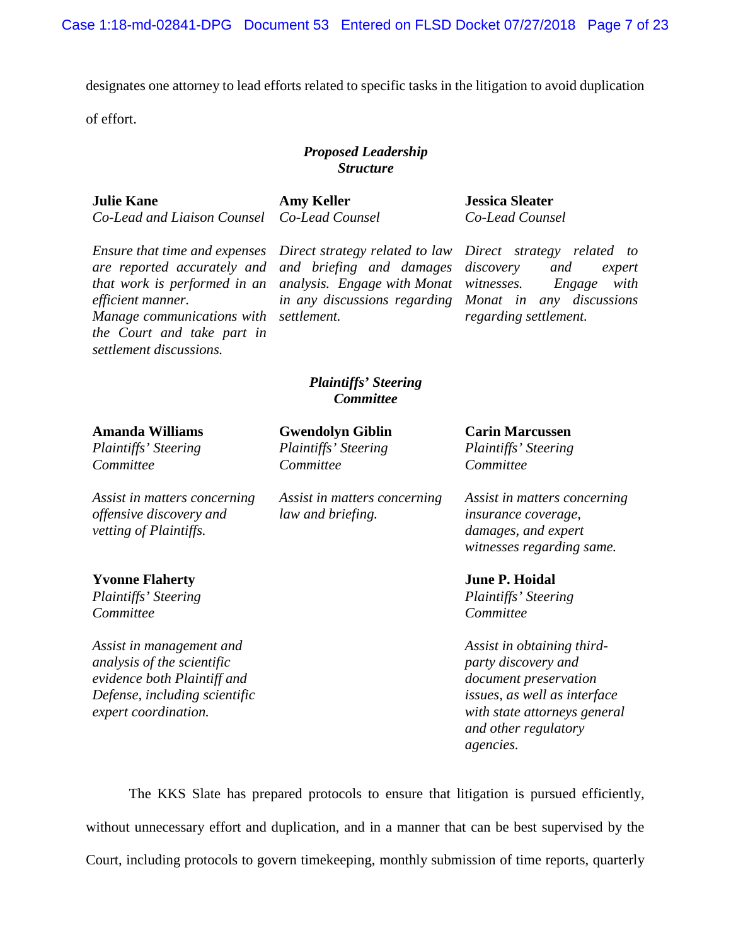designates one attorney to lead efforts related to specific tasks in the litigation to avoid duplication

of effort.

## *Proposed Leadership Structure*

#### **Julie Kane**

*Co-Lead and Liaison Counsel*

**Amy Keller** *Co-Lead Counsel*

*Ensure that time and expenses are reported accurately and that work is performed in an efficient manner. Manage communications with the Court and take part in settlement discussions.*

*expert coordination.*

*Direct strategy related to law and briefing and damages analysis. Engage with Monat in any discussions regarding settlement.*

**Jessica Sleater** *Co-Lead Counsel*

*Direct strategy related to discovery and expert witnesses. Engage with Monat in any discussions regarding settlement.*

*with state attorneys general* 

*and other regulatory* 

*agencies.*

## *Plaintiffs' Steering Committee*

| <b>Amanda Williams</b><br>Plaintiffs' Steering<br>Committee | <b>Gwendolyn Giblin</b><br>Plaintiffs' Steering<br>Committee | <b>Carin Marcussen</b><br><i>Plaintiffs' Steering</i><br>Committee |                                                                                   |                                                   |                                                                                                                |
|-------------------------------------------------------------|--------------------------------------------------------------|--------------------------------------------------------------------|-----------------------------------------------------------------------------------|---------------------------------------------------|----------------------------------------------------------------------------------------------------------------|
|                                                             |                                                              |                                                                    | Assist in matters concerning<br>offensive discovery and<br>vetting of Plaintiffs. | Assist in matters concerning<br>law and briefing. | Assist in matters concerning<br><i>insurance coverage,</i><br>damages, and expert<br>witnesses regarding same. |
|                                                             |                                                              |                                                                    | <b>Yvonne Flaherty</b>                                                            |                                                   | <b>June P. Hoidal</b>                                                                                          |
| Plaintiffs' Steering                                        |                                                              | Plaintiffs' Steering                                               |                                                                                   |                                                   |                                                                                                                |
| Committee                                                   |                                                              | Committee                                                          |                                                                                   |                                                   |                                                                                                                |
| Assist in management and                                    |                                                              | Assist in obtaining third-                                         |                                                                                   |                                                   |                                                                                                                |
| analysis of the scientific                                  |                                                              | party discovery and                                                |                                                                                   |                                                   |                                                                                                                |
| evidence both Plaintiff and                                 |                                                              | document preservation                                              |                                                                                   |                                                   |                                                                                                                |
| Defense, including scientific                               |                                                              | issues, as well as interface                                       |                                                                                   |                                                   |                                                                                                                |

The KKS Slate has prepared protocols to ensure that litigation is pursued efficiently, without unnecessary effort and duplication, and in a manner that can be best supervised by the Court, including protocols to govern timekeeping, monthly submission of time reports, quarterly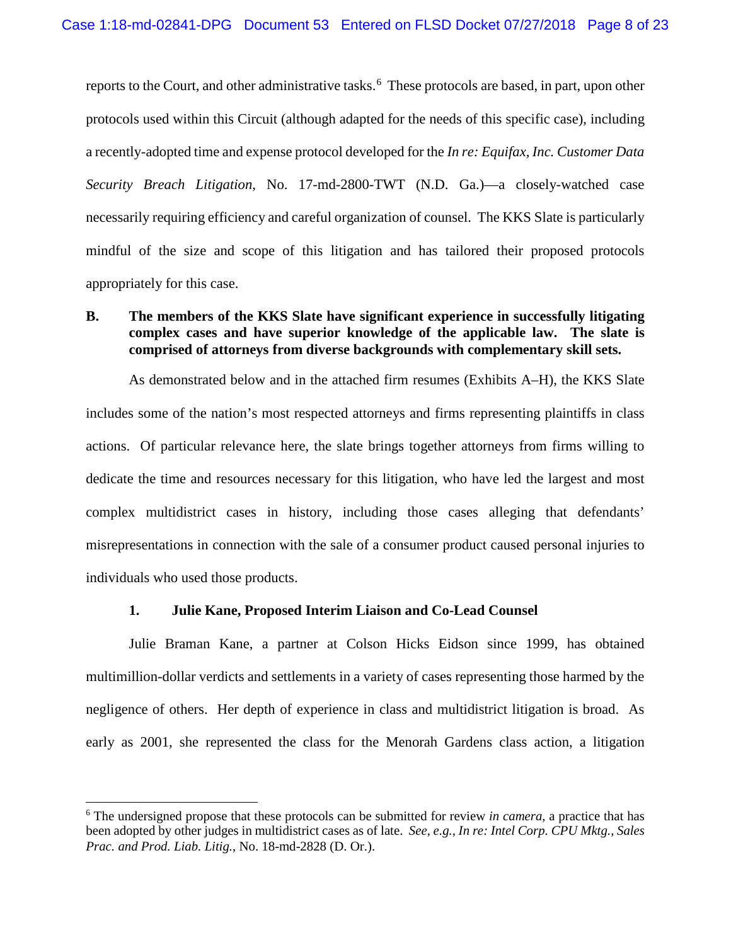reports to the Court, and other administrative tasks.<sup>6</sup> These protocols are based, in part, upon other protocols used within this Circuit (although adapted for the needs of this specific case), including a recently-adopted time and expense protocol developed for the *In re: Equifax, Inc. Customer Data Security Breach Litigation*, No. 17-md-2800-TWT (N.D. Ga.)—a closely-watched case necessarily requiring efficiency and careful organization of counsel. The KKS Slate is particularly mindful of the size and scope of this litigation and has tailored their proposed protocols appropriately for this case.

# **B. The members of the KKS Slate have significant experience in successfully litigating complex cases and have superior knowledge of the applicable law. The slate is comprised of attorneys from diverse backgrounds with complementary skill sets.**

As demonstrated below and in the attached firm resumes (Exhibits A–H), the KKS Slate includes some of the nation's most respected attorneys and firms representing plaintiffs in class actions. Of particular relevance here, the slate brings together attorneys from firms willing to dedicate the time and resources necessary for this litigation, who have led the largest and most complex multidistrict cases in history, including those cases alleging that defendants' misrepresentations in connection with the sale of a consumer product caused personal injuries to individuals who used those products.

### **1. Julie Kane, Proposed Interim Liaison and Co-Lead Counsel**

Julie Braman Kane, a partner at Colson Hicks Eidson since 1999, has obtained multimillion-dollar verdicts and settlements in a variety of cases representing those harmed by the negligence of others. Her depth of experience in class and multidistrict litigation is broad. As early as 2001, she represented the class for the Menorah Gardens class action, a litigation

 <sup>6</sup> The undersigned propose that these protocols can be submitted for review *in camera*, a practice that has been adopted by other judges in multidistrict cases as of late. *See, e.g., In re: Intel Corp. CPU Mktg., Sales Prac. and Prod. Liab. Litig.*, No. 18-md-2828 (D. Or.).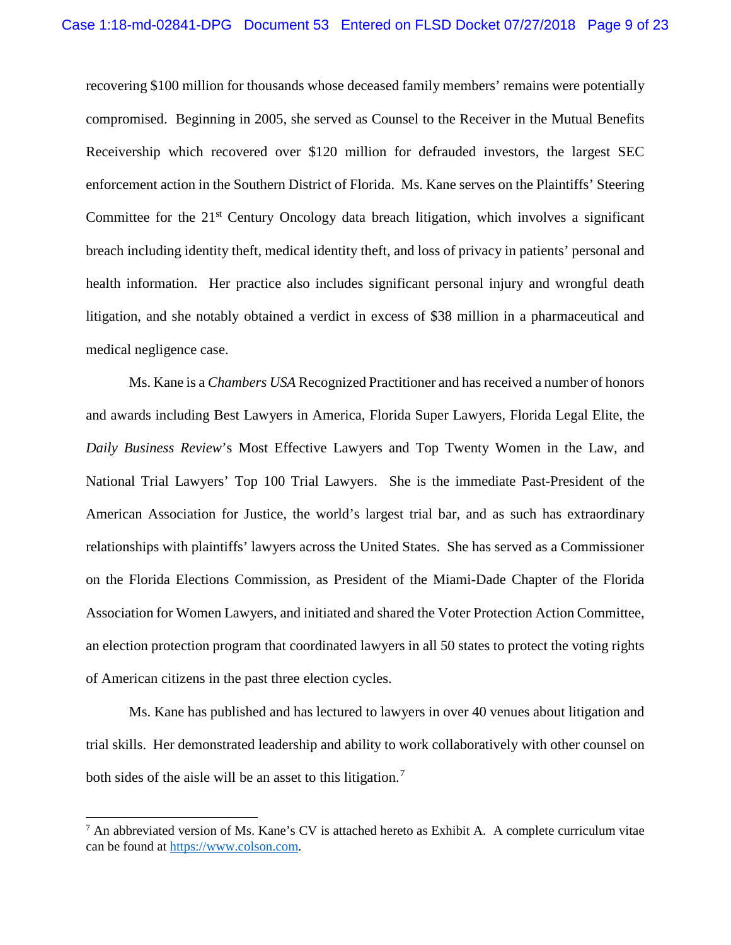recovering \$100 million for thousands whose deceased family members' remains were potentially compromised. Beginning in 2005, she served as Counsel to the Receiver in the Mutual Benefits Receivership which recovered over \$120 million for defrauded investors, the largest SEC enforcement action in the Southern District of Florida. Ms. Kane serves on the Plaintiffs' Steering Committee for the 21<sup>st</sup> Century Oncology data breach litigation, which involves a significant breach including identity theft, medical identity theft, and loss of privacy in patients' personal and health information. Her practice also includes significant personal injury and wrongful death litigation, and she notably obtained a verdict in excess of \$38 million in a pharmaceutical and medical negligence case.

Ms. Kane is a *Chambers USA* Recognized Practitioner and has received a number of honors and awards including Best Lawyers in America, Florida Super Lawyers, Florida Legal Elite, the *Daily Business Review*'s Most Effective Lawyers and Top Twenty Women in the Law, and National Trial Lawyers' Top 100 Trial Lawyers. She is the immediate Past-President of the American Association for Justice, the world's largest trial bar, and as such has extraordinary relationships with plaintiffs' lawyers across the United States. She has served as a Commissioner on the Florida Elections Commission, as President of the Miami-Dade Chapter of the Florida Association for Women Lawyers, and initiated and shared the Voter Protection Action Committee, an election protection program that coordinated lawyers in all 50 states to protect the voting rights of American citizens in the past three election cycles.

Ms. Kane has published and has lectured to lawyers in over 40 venues about litigation and trial skills. Her demonstrated leadership and ability to work collaboratively with other counsel on both sides of the aisle will be an asset to this litigation.<sup>7</sup>

 $<sup>7</sup>$  An abbreviated version of Ms. Kane's CV is attached hereto as Exhibit A. A complete curriculum vitae</sup> can be found at https://www.colson.com.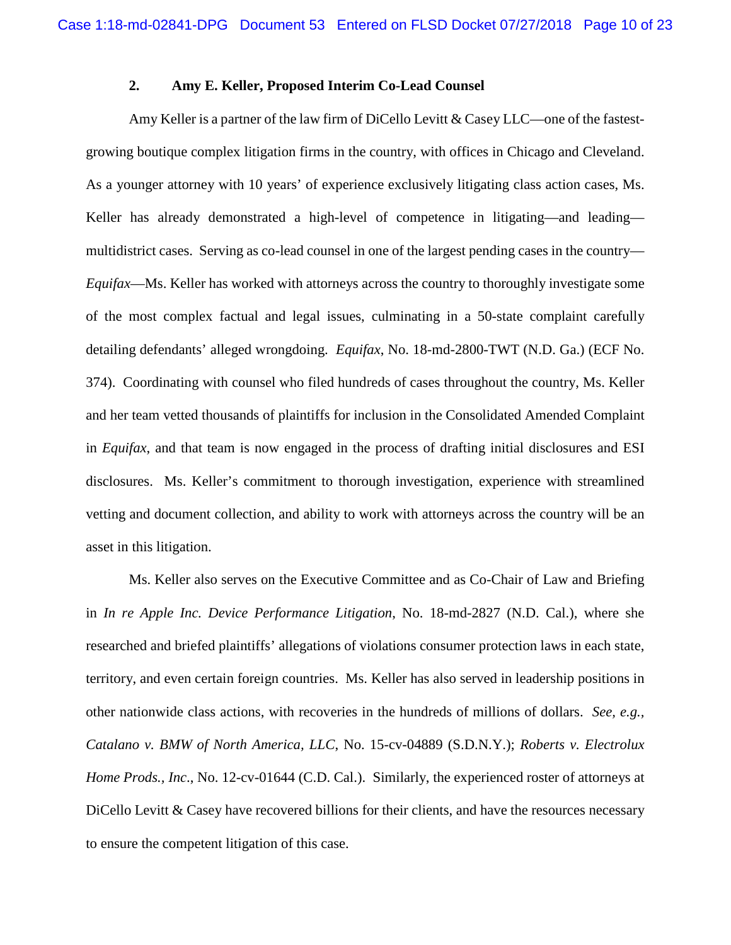## **2. Amy E. Keller, Proposed Interim Co-Lead Counsel**

Amy Keller is a partner of the law firm of DiCello Levitt & Casey LLC—one of the fastestgrowing boutique complex litigation firms in the country, with offices in Chicago and Cleveland. As a younger attorney with 10 years' of experience exclusively litigating class action cases, Ms. Keller has already demonstrated a high-level of competence in litigating—and leading multidistrict cases. Serving as co-lead counsel in one of the largest pending cases in the country— *Equifax*—Ms. Keller has worked with attorneys across the country to thoroughly investigate some of the most complex factual and legal issues, culminating in a 50-state complaint carefully detailing defendants' alleged wrongdoing. *Equifax*, No. 18-md-2800-TWT (N.D. Ga.) (ECF No. 374). Coordinating with counsel who filed hundreds of cases throughout the country, Ms. Keller and her team vetted thousands of plaintiffs for inclusion in the Consolidated Amended Complaint in *Equifax*, and that team is now engaged in the process of drafting initial disclosures and ESI disclosures. Ms. Keller's commitment to thorough investigation, experience with streamlined vetting and document collection, and ability to work with attorneys across the country will be an asset in this litigation.

Ms. Keller also serves on the Executive Committee and as Co-Chair of Law and Briefing in *In re Apple Inc. Device Performance Litigation*, No. 18-md-2827 (N.D. Cal.), where she researched and briefed plaintiffs' allegations of violations consumer protection laws in each state, territory, and even certain foreign countries. Ms. Keller has also served in leadership positions in other nationwide class actions, with recoveries in the hundreds of millions of dollars. *See, e.g., Catalano v. BMW of North America, LLC*, No. 15-cv-04889 (S.D.N.Y.); *Roberts v. Electrolux Home Prods., Inc*., No. 12-cv-01644 (C.D. Cal.). Similarly, the experienced roster of attorneys at DiCello Levitt & Casey have recovered billions for their clients, and have the resources necessary to ensure the competent litigation of this case.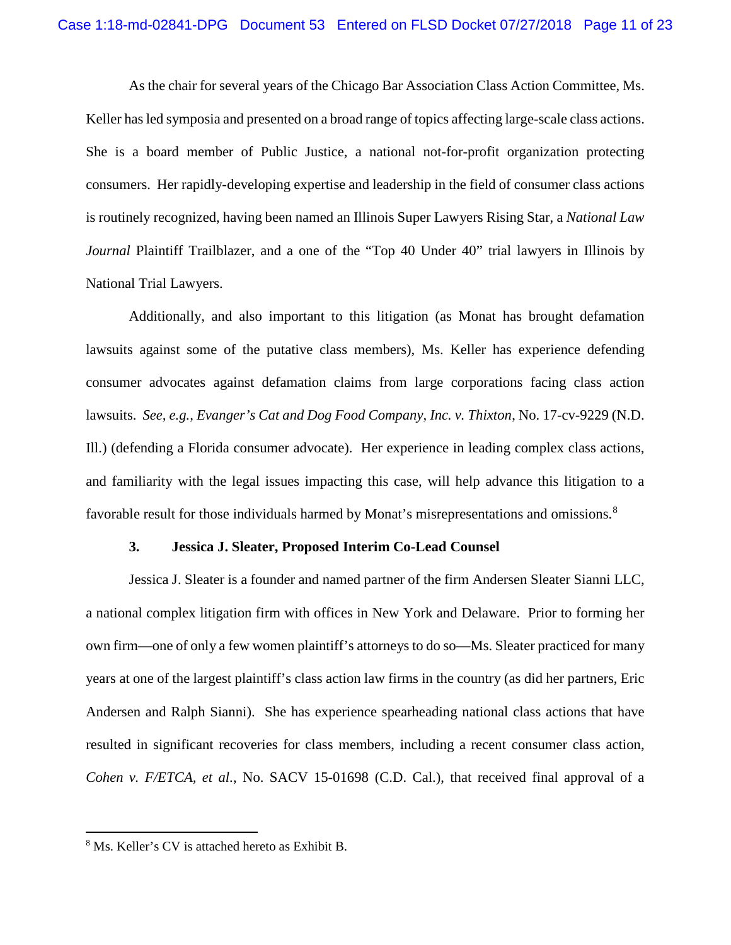As the chair for several years of the Chicago Bar Association Class Action Committee, Ms. Keller has led symposia and presented on a broad range of topics affecting large-scale class actions. She is a board member of Public Justice, a national not-for-profit organization protecting consumers. Her rapidly-developing expertise and leadership in the field of consumer class actions is routinely recognized, having been named an Illinois Super Lawyers Rising Star, a *National Law Journal* Plaintiff Trailblazer, and a one of the "Top 40 Under 40" trial lawyers in Illinois by National Trial Lawyers.

Additionally, and also important to this litigation (as Monat has brought defamation lawsuits against some of the putative class members), Ms. Keller has experience defending consumer advocates against defamation claims from large corporations facing class action lawsuits. *See, e.g., Evanger's Cat and Dog Food Company, Inc. v. Thixton*, No. 17-cv-9229 (N.D. Ill.) (defending a Florida consumer advocate). Her experience in leading complex class actions, and familiarity with the legal issues impacting this case, will help advance this litigation to a favorable result for those individuals harmed by Monat's misrepresentations and omissions.<sup>8</sup>

#### **3. Jessica J. Sleater, Proposed Interim Co-Lead Counsel**

Jessica J. Sleater is a founder and named partner of the firm Andersen Sleater Sianni LLC, a national complex litigation firm with offices in New York and Delaware. Prior to forming her own firm—one of only a few women plaintiff's attorneys to do so—Ms. Sleater practiced for many years at one of the largest plaintiff's class action law firms in the country (as did her partners, Eric Andersen and Ralph Sianni). She has experience spearheading national class actions that have resulted in significant recoveries for class members, including a recent consumer class action, *Cohen v. F/ETCA, et al.*, No. SACV 15-01698 (C.D. Cal.), that received final approval of a

 <sup>8</sup> Ms. Keller's CV is attached hereto as Exhibit B.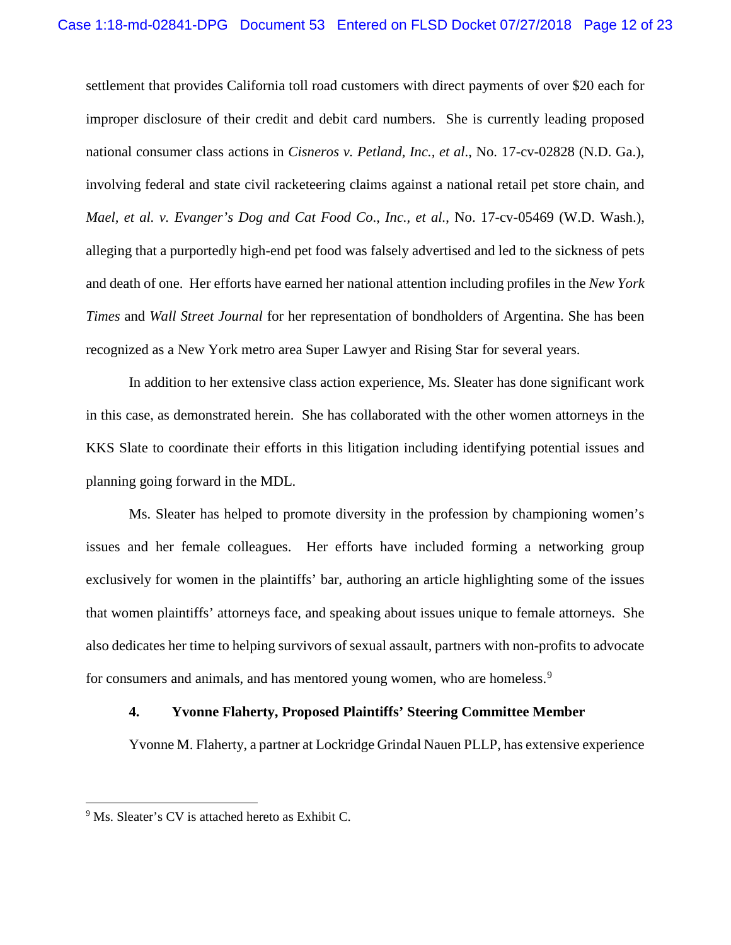settlement that provides California toll road customers with direct payments of over \$20 each for improper disclosure of their credit and debit card numbers. She is currently leading proposed national consumer class actions in *Cisneros v. Petland, Inc., et al*., No. 17-cv-02828 (N.D. Ga.), involving federal and state civil racketeering claims against a national retail pet store chain, and *Mael, et al. v. Evanger's Dog and Cat Food Co*., *Inc., et al.*, No. 17-cv-05469 (W.D. Wash.), alleging that a purportedly high-end pet food was falsely advertised and led to the sickness of pets and death of one. Her efforts have earned her national attention including profiles in the *New York Times* and *Wall Street Journal* for her representation of bondholders of Argentina. She has been recognized as a New York metro area Super Lawyer and Rising Star for several years.

In addition to her extensive class action experience, Ms. Sleater has done significant work in this case, as demonstrated herein. She has collaborated with the other women attorneys in the KKS Slate to coordinate their efforts in this litigation including identifying potential issues and planning going forward in the MDL.

Ms. Sleater has helped to promote diversity in the profession by championing women's issues and her female colleagues. Her efforts have included forming a networking group exclusively for women in the plaintiffs' bar, authoring an article highlighting some of the issues that women plaintiffs' attorneys face, and speaking about issues unique to female attorneys. She also dedicates her time to helping survivors of sexual assault, partners with non-profits to advocate for consumers and animals, and has mentored young women, who are homeless.<sup>9</sup>

### **4. Yvonne Flaherty, Proposed Plaintiffs' Steering Committee Member**

Yvonne M. Flaherty, a partner at Lockridge Grindal Nauen PLLP, has extensive experience

<sup>&</sup>lt;sup>9</sup> Ms. Sleater's CV is attached hereto as Exhibit C.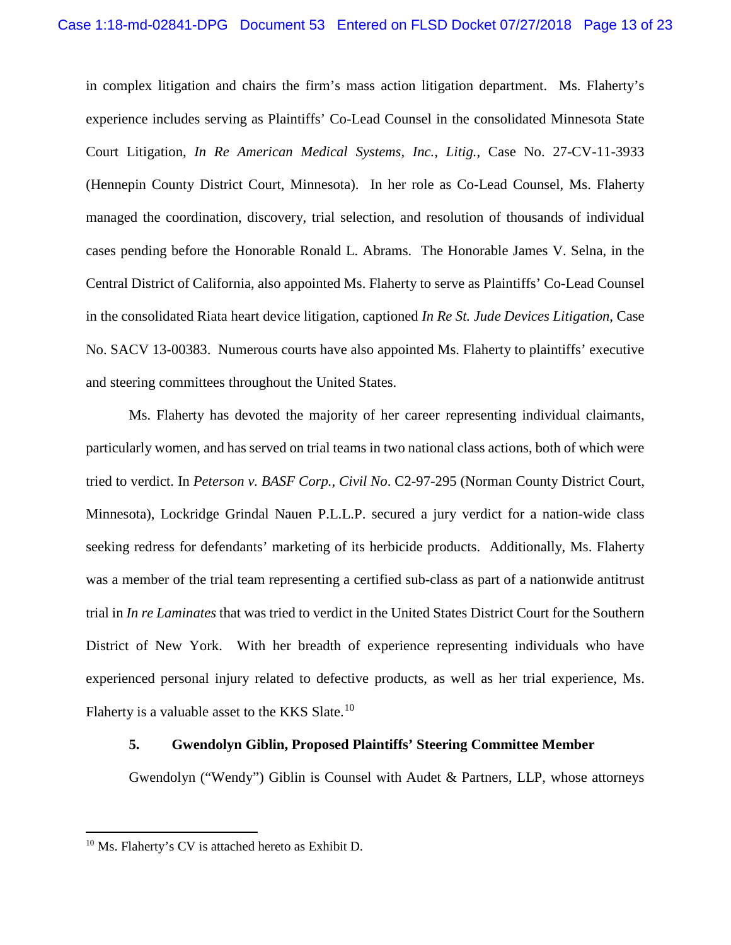in complex litigation and chairs the firm's mass action litigation department. Ms. Flaherty's experience includes serving as Plaintiffs' Co-Lead Counsel in the consolidated Minnesota State Court Litigation, *In Re American Medical Systems, Inc., Litig.*, Case No. 27-CV-11-3933 (Hennepin County District Court, Minnesota). In her role as Co-Lead Counsel, Ms. Flaherty managed the coordination, discovery, trial selection, and resolution of thousands of individual cases pending before the Honorable Ronald L. Abrams. The Honorable James V. Selna, in the Central District of California, also appointed Ms. Flaherty to serve as Plaintiffs' Co-Lead Counsel in the consolidated Riata heart device litigation, captioned *In Re St. Jude Devices Litigation*, Case No. SACV 13-00383. Numerous courts have also appointed Ms. Flaherty to plaintiffs' executive and steering committees throughout the United States.

Ms. Flaherty has devoted the majority of her career representing individual claimants, particularly women, and has served on trial teams in two national class actions, both of which were tried to verdict. In *Peterson v. BASF Corp., Civil No*. C2-97-295 (Norman County District Court, Minnesota), Lockridge Grindal Nauen P.L.L.P. secured a jury verdict for a nation-wide class seeking redress for defendants' marketing of its herbicide products. Additionally, Ms. Flaherty was a member of the trial team representing a certified sub-class as part of a nationwide antitrust trial in *In re Laminates* that was tried to verdict in the United States District Court for the Southern District of New York. With her breadth of experience representing individuals who have experienced personal injury related to defective products, as well as her trial experience, Ms. Flaherty is a valuable asset to the KKS Slate.<sup>10</sup>

## **5. Gwendolyn Giblin, Proposed Plaintiffs' Steering Committee Member**

Gwendolyn ("Wendy") Giblin is Counsel with Audet & Partners, LLP, whose attorneys

 <sup>10</sup> Ms. Flaherty's CV is attached hereto as Exhibit D.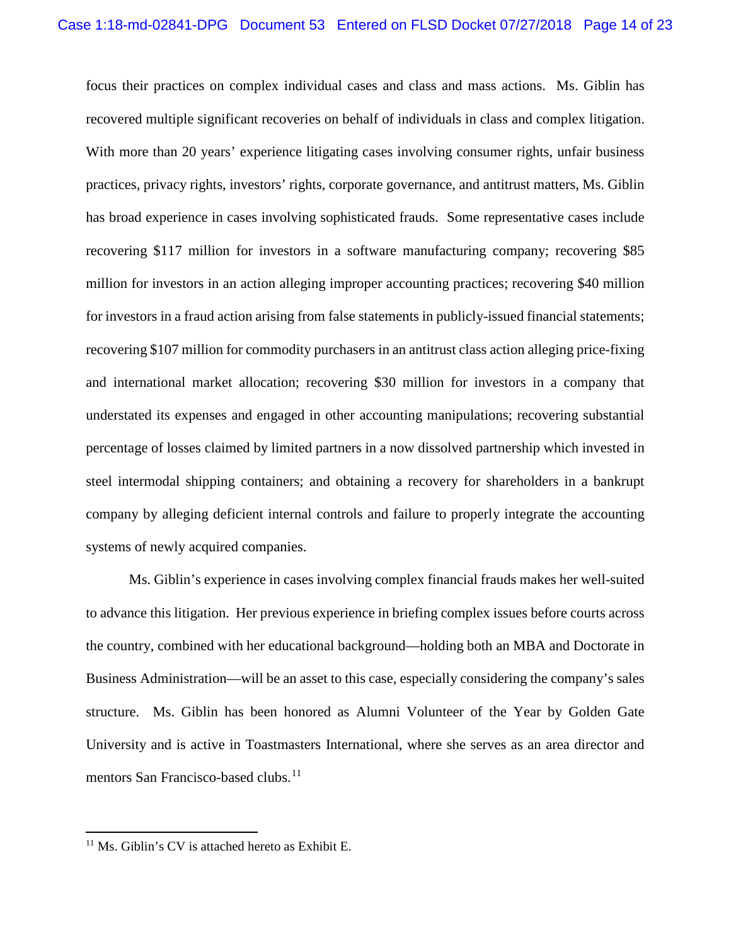focus their practices on complex individual cases and class and mass actions. Ms. Giblin has recovered multiple significant recoveries on behalf of individuals in class and complex litigation. With more than 20 years' experience litigating cases involving consumer rights, unfair business practices, privacy rights, investors' rights, corporate governance, and antitrust matters, Ms. Giblin has broad experience in cases involving sophisticated frauds. Some representative cases include recovering \$117 million for investors in a software manufacturing company; recovering \$85 million for investors in an action alleging improper accounting practices; recovering \$40 million for investors in a fraud action arising from false statements in publicly-issued financial statements; recovering \$107 million for commodity purchasers in an antitrust class action alleging price-fixing and international market allocation; recovering \$30 million for investors in a company that understated its expenses and engaged in other accounting manipulations; recovering substantial percentage of losses claimed by limited partners in a now dissolved partnership which invested in steel intermodal shipping containers; and obtaining a recovery for shareholders in a bankrupt company by alleging deficient internal controls and failure to properly integrate the accounting systems of newly acquired companies.

Ms. Giblin's experience in cases involving complex financial frauds makes her well-suited to advance this litigation. Her previous experience in briefing complex issues before courts across the country, combined with her educational background—holding both an MBA and Doctorate in Business Administration—will be an asset to this case, especially considering the company's sales structure. Ms. Giblin has been honored as Alumni Volunteer of the Year by Golden Gate University and is active in Toastmasters International, where she serves as an area director and mentors San Francisco-based clubs.<sup>11</sup>

<sup>&</sup>lt;sup>11</sup> Ms. Giblin's CV is attached hereto as Exhibit E.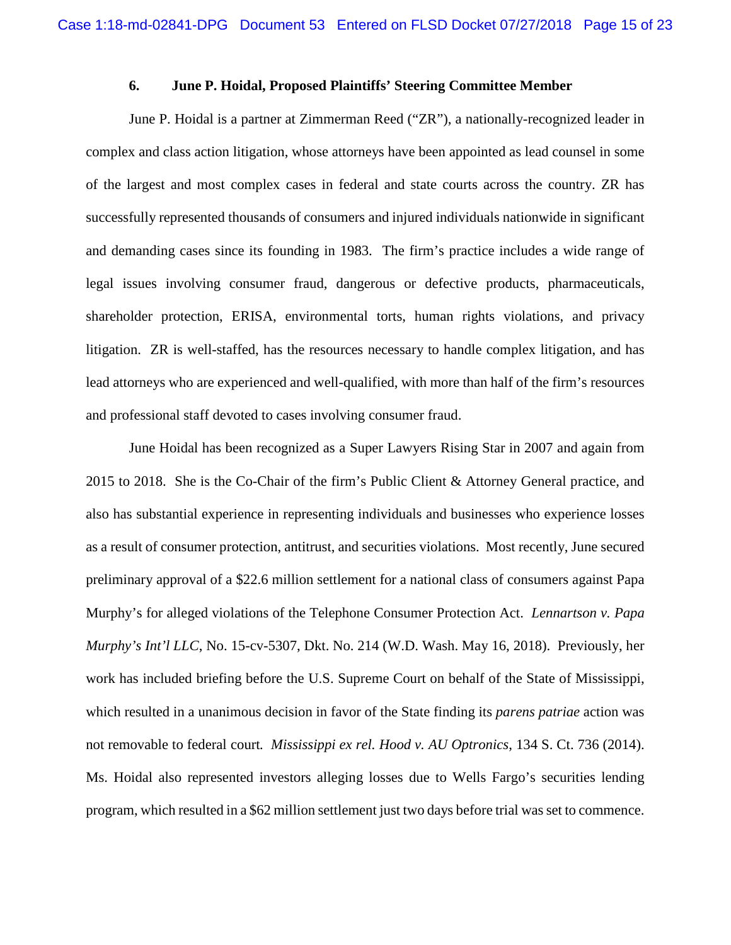### **6. June P. Hoidal, Proposed Plaintiffs' Steering Committee Member**

June P. Hoidal is a partner at Zimmerman Reed ("ZR"), a nationally-recognized leader in complex and class action litigation, whose attorneys have been appointed as lead counsel in some of the largest and most complex cases in federal and state courts across the country. ZR has successfully represented thousands of consumers and injured individuals nationwide in significant and demanding cases since its founding in 1983. The firm's practice includes a wide range of legal issues involving consumer fraud, dangerous or defective products, pharmaceuticals, shareholder protection, ERISA, environmental torts, human rights violations, and privacy litigation. ZR is well-staffed, has the resources necessary to handle complex litigation, and has lead attorneys who are experienced and well-qualified, with more than half of the firm's resources and professional staff devoted to cases involving consumer fraud.

June Hoidal has been recognized as a Super Lawyers Rising Star in 2007 and again from 2015 to 2018. She is the Co-Chair of the firm's Public Client & Attorney General practice, and also has substantial experience in representing individuals and businesses who experience losses as a result of consumer protection, antitrust, and securities violations. Most recently, June secured preliminary approval of a \$22.6 million settlement for a national class of consumers against Papa Murphy's for alleged violations of the Telephone Consumer Protection Act. *Lennartson v. Papa Murphy's Int'l LLC*, No. 15-cv-5307, Dkt. No. 214 (W.D. Wash. May 16, 2018). Previously, her work has included briefing before the U.S. Supreme Court on behalf of the State of Mississippi, which resulted in a unanimous decision in favor of the State finding its *parens patriae* action was not removable to federal court*. Mississippi ex rel. Hood v. AU Optronics*, 134 S. Ct. 736 (2014). Ms. Hoidal also represented investors alleging losses due to Wells Fargo's securities lending program, which resulted in a \$62 million settlement just two days before trial was set to commence.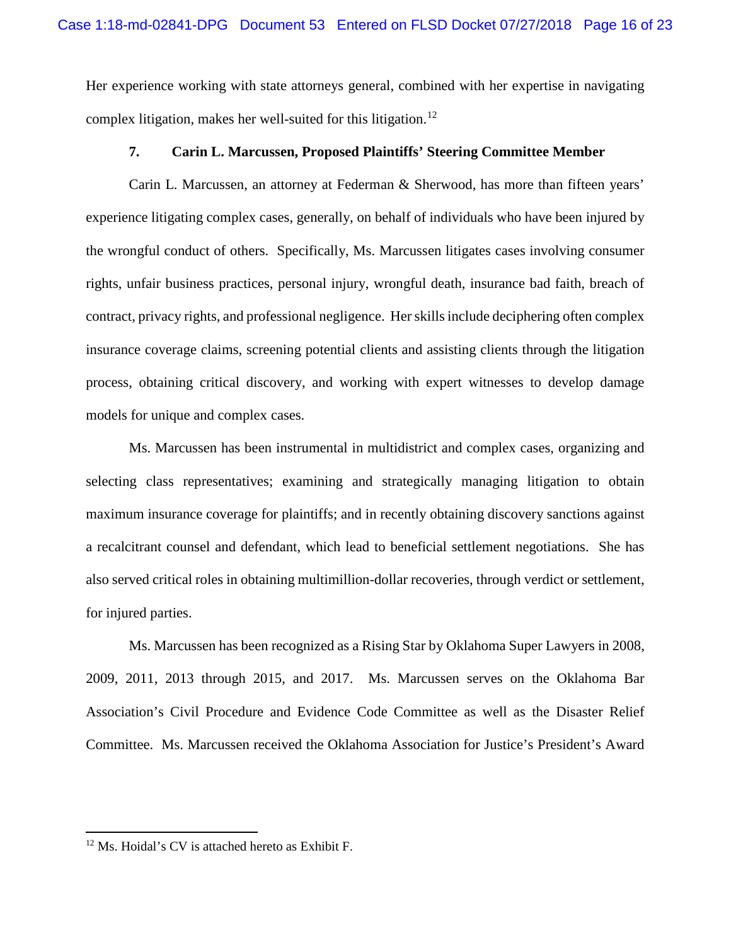Her experience working with state attorneys general, combined with her expertise in navigating complex litigation, makes her well-suited for this litigation.<sup>12</sup>

### **7. Carin L. Marcussen, Proposed Plaintiffs' Steering Committee Member**

Carin L. Marcussen, an attorney at Federman & Sherwood, has more than fifteen years' experience litigating complex cases, generally, on behalf of individuals who have been injured by the wrongful conduct of others. Specifically, Ms. Marcussen litigates cases involving consumer rights, unfair business practices, personal injury, wrongful death, insurance bad faith, breach of contract, privacy rights, and professional negligence. Her skills include deciphering often complex insurance coverage claims, screening potential clients and assisting clients through the litigation process, obtaining critical discovery, and working with expert witnesses to develop damage models for unique and complex cases.

Ms. Marcussen has been instrumental in multidistrict and complex cases, organizing and selecting class representatives; examining and strategically managing litigation to obtain maximum insurance coverage for plaintiffs; and in recently obtaining discovery sanctions against a recalcitrant counsel and defendant, which lead to beneficial settlement negotiations. She has also served critical roles in obtaining multimillion-dollar recoveries, through verdict or settlement, for injured parties.

Ms. Marcussen has been recognized as a Rising Star by Oklahoma Super Lawyers in 2008, 2009, 2011, 2013 through 2015, and 2017. Ms. Marcussen serves on the Oklahoma Bar Association's Civil Procedure and Evidence Code Committee as well as the Disaster Relief Committee. Ms. Marcussen received the Oklahoma Association for Justice's President's Award

 <sup>12</sup> Ms. Hoidal's CV is attached hereto as Exhibit F.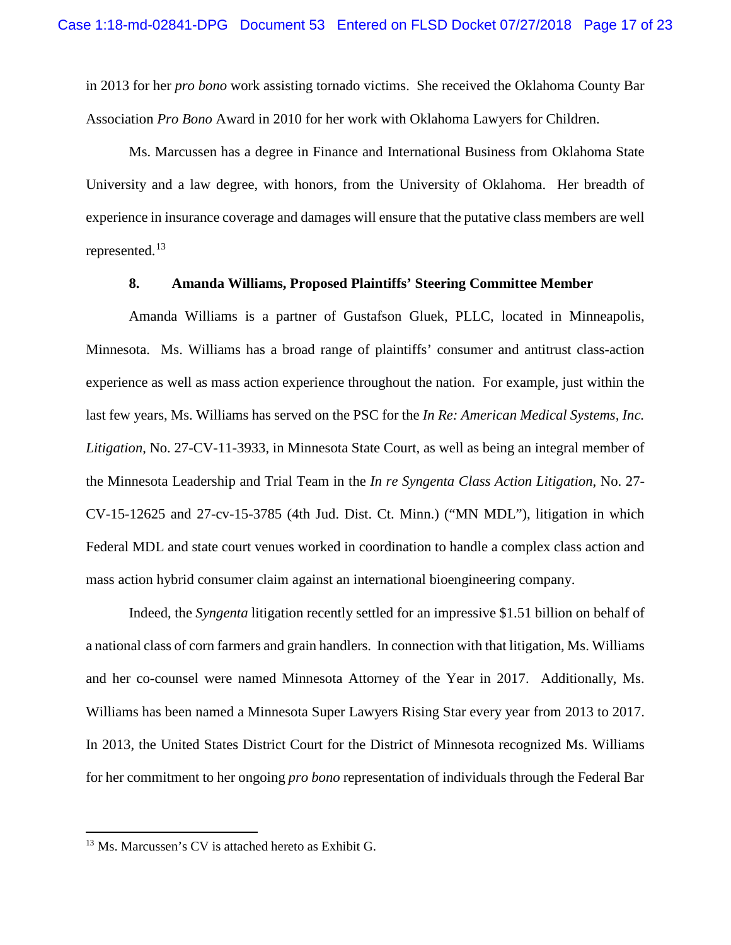in 2013 for her *pro bono* work assisting tornado victims. She received the Oklahoma County Bar Association *Pro Bono* Award in 2010 for her work with Oklahoma Lawyers for Children.

Ms. Marcussen has a degree in Finance and International Business from Oklahoma State University and a law degree, with honors, from the University of Oklahoma. Her breadth of experience in insurance coverage and damages will ensure that the putative class members are well represented.<sup>13</sup>

### **8. Amanda Williams, Proposed Plaintiffs' Steering Committee Member**

Amanda Williams is a partner of Gustafson Gluek, PLLC, located in Minneapolis, Minnesota. Ms. Williams has a broad range of plaintiffs' consumer and antitrust class-action experience as well as mass action experience throughout the nation. For example, just within the last few years, Ms. Williams has served on the PSC for the *In Re: American Medical Systems, Inc. Litigation*, No. 27-CV-11-3933, in Minnesota State Court, as well as being an integral member of the Minnesota Leadership and Trial Team in the *In re Syngenta Class Action Litigation*, No. 27- CV-15-12625 and 27-cv-15-3785 (4th Jud. Dist. Ct. Minn.) ("MN MDL"), litigation in which Federal MDL and state court venues worked in coordination to handle a complex class action and mass action hybrid consumer claim against an international bioengineering company.

Indeed, the *Syngenta* litigation recently settled for an impressive \$1.51 billion on behalf of a national class of corn farmers and grain handlers. In connection with that litigation, Ms. Williams and her co-counsel were named Minnesota Attorney of the Year in 2017. Additionally, Ms. Williams has been named a Minnesota Super Lawyers Rising Star every year from 2013 to 2017. In 2013, the United States District Court for the District of Minnesota recognized Ms. Williams for her commitment to her ongoing *pro bono* representation of individuals through the Federal Bar

 <sup>13</sup> Ms. Marcussen's CV is attached hereto as Exhibit G.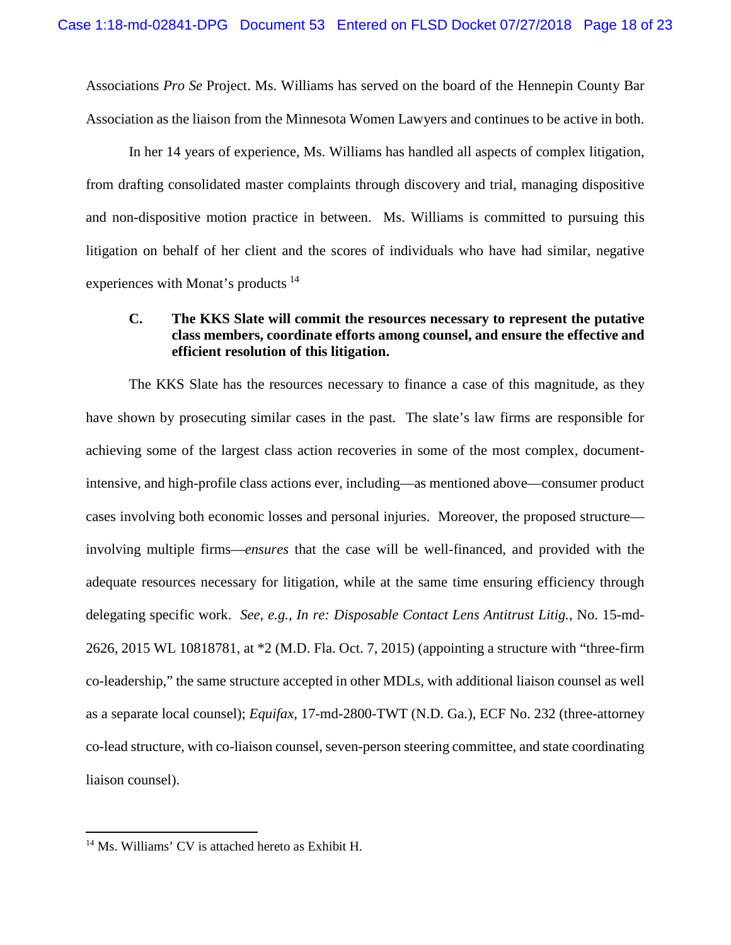Associations *Pro Se* Project. Ms. Williams has served on the board of the Hennepin County Bar Association as the liaison from the Minnesota Women Lawyers and continues to be active in both.

In her 14 years of experience, Ms. Williams has handled all aspects of complex litigation, from drafting consolidated master complaints through discovery and trial, managing dispositive and non-dispositive motion practice in between. Ms. Williams is committed to pursuing this litigation on behalf of her client and the scores of individuals who have had similar, negative experiences with Monat's products <sup>14</sup>

## **C. The KKS Slate will commit the resources necessary to represent the putative class members, coordinate efforts among counsel, and ensure the effective and efficient resolution of this litigation.**

The KKS Slate has the resources necessary to finance a case of this magnitude, as they have shown by prosecuting similar cases in the past. The slate's law firms are responsible for achieving some of the largest class action recoveries in some of the most complex, documentintensive, and high-profile class actions ever, including—as mentioned above—consumer product cases involving both economic losses and personal injuries. Moreover, the proposed structure involving multiple firms—*ensures* that the case will be well-financed, and provided with the adequate resources necessary for litigation, while at the same time ensuring efficiency through delegating specific work. *See, e.g., In re: Disposable Contact Lens Antitrust Litig.*, No. 15-md-2626, 2015 WL 10818781, at \*2 (M.D. Fla. Oct. 7, 2015) (appointing a structure with "three-firm co-leadership," the same structure accepted in other MDLs, with additional liaison counsel as well as a separate local counsel); *Equifax*, 17-md-2800-TWT (N.D. Ga.), ECF No. 232 (three-attorney co-lead structure, with co-liaison counsel, seven-person steering committee, and state coordinating liaison counsel).

 <sup>14</sup> Ms. Williams' CV is attached hereto as Exhibit H.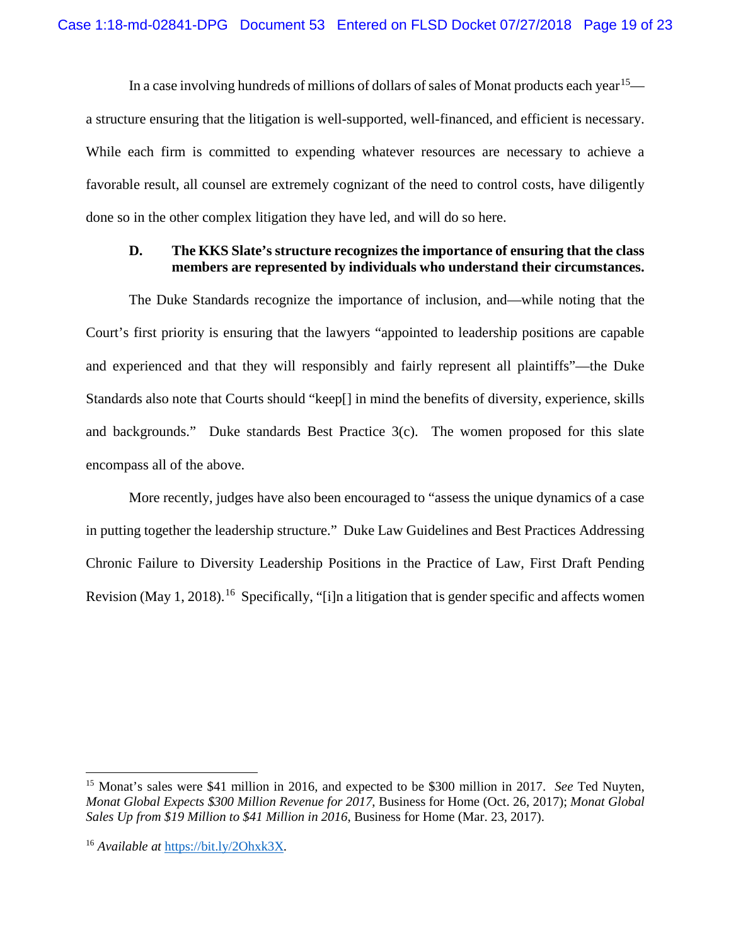In a case involving hundreds of millions of dollars of sales of Monat products each year<sup>15</sup> a structure ensuring that the litigation is well-supported, well-financed, and efficient is necessary. While each firm is committed to expending whatever resources are necessary to achieve a favorable result, all counsel are extremely cognizant of the need to control costs, have diligently done so in the other complex litigation they have led, and will do so here.

## **D. The KKS Slate's structure recognizes the importance of ensuring that the class members are represented by individuals who understand their circumstances.**

The Duke Standards recognize the importance of inclusion, and—while noting that the Court's first priority is ensuring that the lawyers "appointed to leadership positions are capable and experienced and that they will responsibly and fairly represent all plaintiffs"—the Duke Standards also note that Courts should "keep[] in mind the benefits of diversity, experience, skills and backgrounds." Duke standards Best Practice 3(c). The women proposed for this slate encompass all of the above.

More recently, judges have also been encouraged to "assess the unique dynamics of a case in putting together the leadership structure." Duke Law Guidelines and Best Practices Addressing Chronic Failure to Diversity Leadership Positions in the Practice of Law, First Draft Pending Revision (May 1, 2018).<sup>16</sup> Specifically, "[i]n a litigation that is gender specific and affects women

 <sup>15</sup> Monat's sales were \$41 million in 2016, and expected to be \$300 million in 2017. *See* Ted Nuyten, *Monat Global Expects \$300 Million Revenue for 2017*, Business for Home (Oct. 26, 2017); *Monat Global Sales Up from \$19 Million to \$41 Million in 2016*, Business for Home (Mar. 23, 2017).

<sup>16</sup> *Available at* https://bit.ly/2Ohxk3X*.*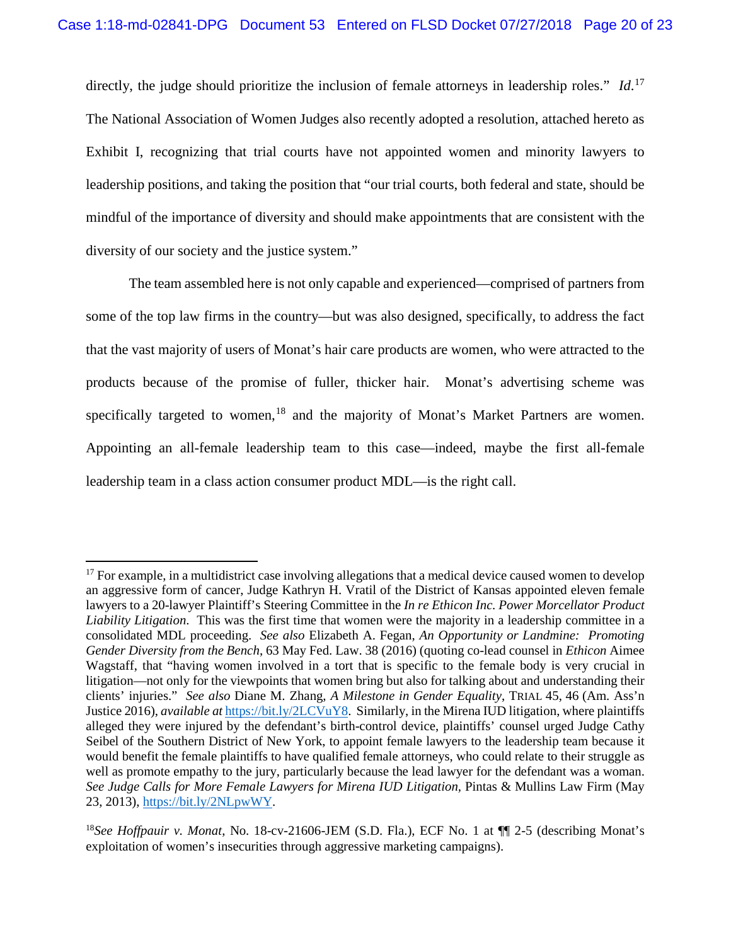directly, the judge should prioritize the inclusion of female attorneys in leadership roles." *Id*. 17 The National Association of Women Judges also recently adopted a resolution, attached hereto as Exhibit I, recognizing that trial courts have not appointed women and minority lawyers to leadership positions, and taking the position that "our trial courts, both federal and state, should be mindful of the importance of diversity and should make appointments that are consistent with the diversity of our society and the justice system."

The team assembled here is not only capable and experienced—comprised of partners from some of the top law firms in the country—but was also designed, specifically, to address the fact that the vast majority of users of Monat's hair care products are women, who were attracted to the products because of the promise of fuller, thicker hair. Monat's advertising scheme was specifically targeted to women,<sup>18</sup> and the majority of Monat's Market Partners are women. Appointing an all-female leadership team to this case—indeed, maybe the first all-female leadership team in a class action consumer product MDL—is the right call.

<sup>&</sup>lt;sup>17</sup> For example, in a multidistrict case involving allegations that a medical device caused women to develop an aggressive form of cancer, Judge Kathryn H. Vratil of the District of Kansas appointed eleven female lawyers to a 20-lawyer Plaintiff's Steering Committee in the *In re Ethicon Inc. Power Morcellator Product Liability Litigation*. This was the first time that women were the majority in a leadership committee in a consolidated MDL proceeding. *See also* Elizabeth A. Fegan, *An Opportunity or Landmine: Promoting Gender Diversity from the Bench*, 63 May Fed. Law. 38 (2016) (quoting co-lead counsel in *Ethicon* Aimee Wagstaff, that "having women involved in a tort that is specific to the female body is very crucial in litigation—not only for the viewpoints that women bring but also for talking about and understanding their clients' injuries." *See also* Diane M. Zhang, *A Milestone in Gender Equality*, TRIAL 45, 46 (Am. Ass'n Justice 2016), *available at* https://bit.ly/2LCVuY8. Similarly, in the Mirena IUD litigation, where plaintiffs alleged they were injured by the defendant's birth-control device, plaintiffs' counsel urged Judge Cathy Seibel of the Southern District of New York, to appoint female lawyers to the leadership team because it would benefit the female plaintiffs to have qualified female attorneys, who could relate to their struggle as well as promote empathy to the jury, particularly because the lead lawyer for the defendant was a woman. *See Judge Calls for More Female Lawyers for Mirena IUD Litigation,* Pintas & Mullins Law Firm (May 23, 2013), https://bit.ly/2NLpwWY.

<sup>18</sup>*See Hoffpauir v. Monat*, No. 18-cv-21606-JEM (S.D. Fla.), ECF No. 1 at ¶¶ 2-5 (describing Monat's exploitation of women's insecurities through aggressive marketing campaigns).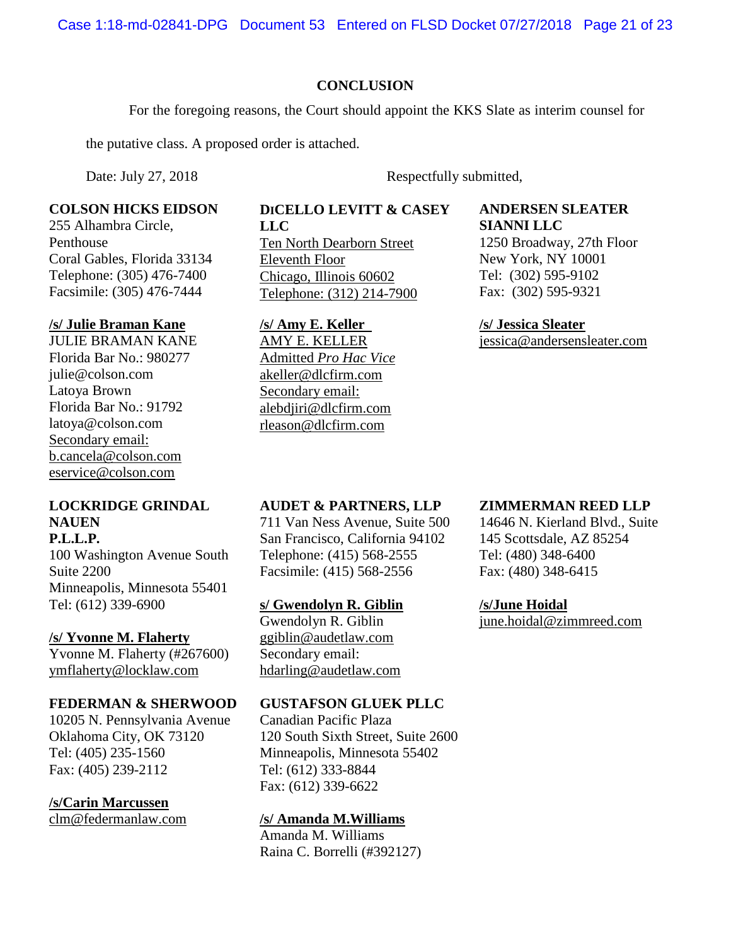Case 1:18-md-02841-DPG Document 53 Entered on FLSD Docket 07/27/2018 Page 21 of 23

## **CONCLUSION**

For the foregoing reasons, the Court should appoint the KKS Slate as interim counsel for

the putative class. A proposed order is attached.

Date: July 27, 2018 Respectfully submitted,

### **COLSON HICKS EIDSON**

255 Alhambra Circle, Penthouse Coral Gables, Florida 33134 Telephone: (305) 476-7400 Facsimile: (305) 476-7444

### **/s/ Julie Braman Kane**

JULIE BRAMAN KANE Florida Bar No.: 980277 julie@colson.com Latoya Brown Florida Bar No.: 91792 latoya@colson.com Secondary email: b.cancela@colson.com eservice@colson.com

## **LOCKRIDGE GRINDAL NAUEN**

**P.L.L.P.**  100 Washington Avenue South Suite 2200 Minneapolis, Minnesota 55401 Tel: (612) 339-6900

### **/s/ Yvonne M. Flaherty**

Yvonne M. Flaherty (#267600) ymflaherty@locklaw.com

### **FEDERMAN & SHERWOOD**

10205 N. Pennsylvania Avenue Oklahoma City, OK 73120 Tel: (405) 235-1560 Fax: (405) 239-2112

## **/s/Carin Marcussen**

clm@federmanlaw.com

#### **DICELLO LEVITT & CASEY LLC**

Ten North Dearborn Street Eleventh Floor Chicago, Illinois 60602 Telephone: (312) 214-7900

# **/s/ Amy E. Keller**

AMY E. KELLER Admitted *Pro Hac Vice* akeller@dlcfirm.com Secondary email: alebdjiri@dlcfirm.com rleason@dlcfirm.com

### **ANDERSEN SLEATER SIANNI LLC**

1250 Broadway, 27th Floor New York, NY 10001 Tel: (302) 595-9102 Fax: (302) 595-9321

### **/s/ Jessica Sleater** jessica@andersensleater.com

## **AUDET & PARTNERS, LLP**

711 Van Ness Avenue, Suite 500 San Francisco, California 94102 Telephone: (415) 568-2555 Facsimile: (415) 568-2556

### **s/ Gwendolyn R. Giblin**

Gwendolyn R. Giblin ggiblin@audetlaw.com Secondary email: hdarling@audetlaw.com

## **GUSTAFSON GLUEK PLLC**

Canadian Pacific Plaza 120 South Sixth Street, Suite 2600 Minneapolis, Minnesota 55402 Tel: (612) 333-8844 Fax: (612) 339-6622

### **/s/ Amanda M.Williams**

Amanda M. Williams Raina C. Borrelli (#392127)

## **ZIMMERMAN REED LLP**

14646 N. Kierland Blvd., Suite 145 Scottsdale, AZ 85254 Tel: (480) 348-6400 Fax: (480) 348-6415

## **/s/June Hoidal**

june.hoidal@zimmreed.com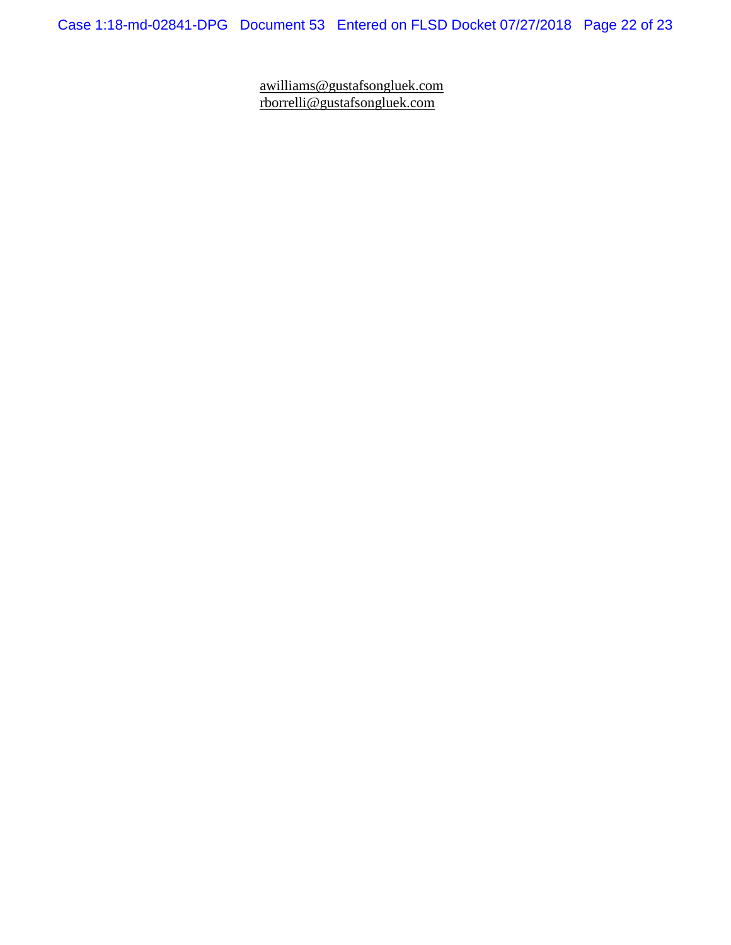Case 1:18-md-02841-DPG Document 53 Entered on FLSD Docket 07/27/2018 Page 22 of 23

awilliams@gustafsongluek.com rborrelli@gustafsongluek.com